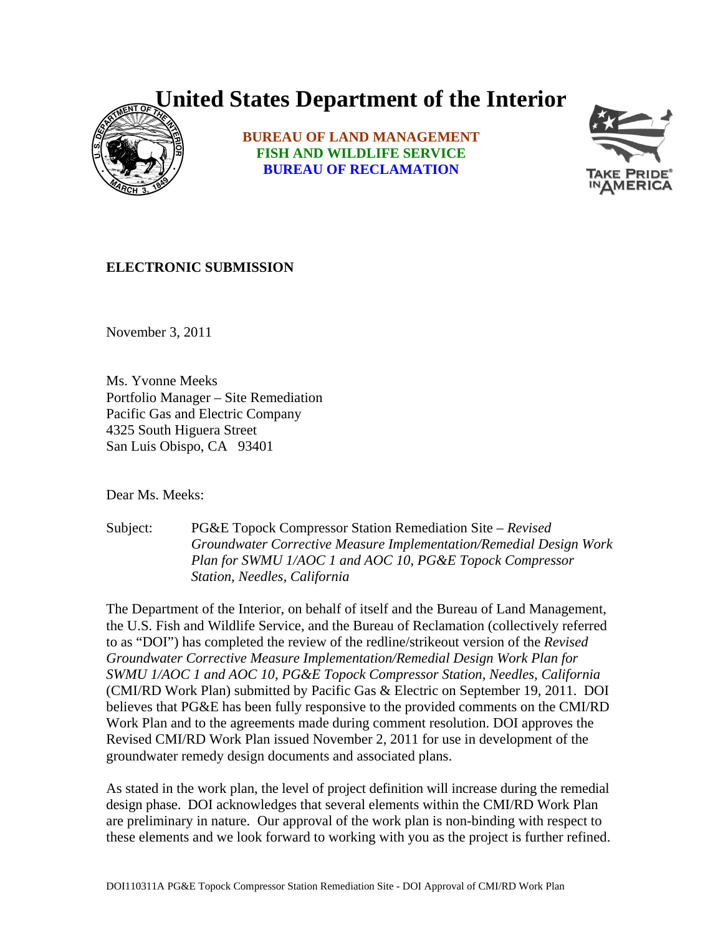## **United States Department of the Interior**



**BUREAU OF LAND MANAGEMENT FISH AND WILDLIFE SERVICE BUREAU OF RECLAMATION**



## **ELECTRONIC SUBMISSION**

November 3, 2011

Ms. Yvonne Meeks Portfolio Manager – Site Remediation Pacific Gas and Electric Company 4325 South Higuera Street San Luis Obispo, CA 93401

Dear Ms. Meeks:

Subject: PG&E Topock Compressor Station Remediation Site – *Revised Groundwater Corrective Measure Implementation/Remedial Design Work Plan for SWMU 1/AOC 1 and AOC 10, PG&E Topock Compressor Station, Needles, California* 

The Department of the Interior, on behalf of itself and the Bureau of Land Management, the U.S. Fish and Wildlife Service, and the Bureau of Reclamation (collectively referred to as "DOI") has completed the review of the redline/strikeout version of the *Revised Groundwater Corrective Measure Implementation/Remedial Design Work Plan for SWMU 1/AOC 1 and AOC 10, PG&E Topock Compressor Station, Needles, California* (CMI/RD Work Plan) submitted by Pacific Gas & Electric on September 19, 2011. DOI believes that PG&E has been fully responsive to the provided comments on the CMI/RD Work Plan and to the agreements made during comment resolution. DOI approves the Revised CMI/RD Work Plan issued November 2, 2011 for use in development of the groundwater remedy design documents and associated plans.

As stated in the work plan, the level of project definition will increase during the remedial design phase. DOI acknowledges that several elements within the CMI/RD Work Plan are preliminary in nature. Our approval of the work plan is non-binding with respect to these elements and we look forward to working with you as the project is further refined.